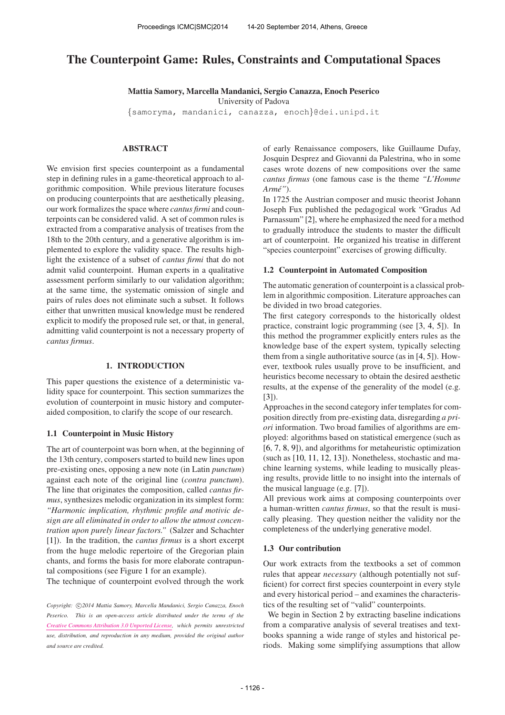# The Counterpoint Game: Rules, Constraints and Computational Spaces

Mattia Samory, Marcella Mandanici, Sergio Canazza, Enoch Peserico

University of Padova

{[samoryma,](mailto:samoryma@dei.unipd.it) [mandanici,](mailto:mandanici@dei.unipd.it) [canazza,](mailto:canazza@dei.unipd.it) [enoch](mailto:enoch@dei.unipd.it)}@dei.unipd.it

# ABSTRACT

We envision first species counterpoint as a fundamental step in defining rules in a game-theoretical approach to algorithmic composition. While previous literature focuses on producing counterpoints that are aesthetically pleasing, our work formalizes the space where *cantus firmi* and counterpoints can be considered valid. A set of common rules is extracted from a comparative analysis of treatises from the 18th to the 20th century, and a generative algorithm is implemented to explore the validity space. The results highlight the existence of a subset of *cantus firmi* that do not admit valid counterpoint. Human experts in a qualitative assessment perform similarly to our validation algorithm; at the same time, the systematic omission of single and pairs of rules does not eliminate such a subset. It follows either that unwritten musical knowledge must be rendered explicit to modify the proposed rule set, or that, in general, admitting valid counterpoint is not a necessary property of *cantus firmus*.

## 1. INTRODUCTION

This paper questions the existence of a deterministic validity space for counterpoint. This section summarizes the evolution of counterpoint in music history and computeraided composition, to clarify the scope of our research.

#### 1.1 Counterpoint in Music History

The art of counterpoint was born when, at the beginning of the 13th century, composers started to build new lines upon pre-existing ones, opposing a new note (in Latin *punctum*) against each note of the original line (*contra punctum*). The line that originates the composition, called *cantus firmus*, synthesizes melodic organization in its simplest form: *"Harmonic implication, rhythmic profile and motivic design are all eliminated in order to allow the utmost concentration upon purely linear factors."* (Salzer and Schachter [1]). In the tradition, the *cantus firmus* is a short excerpt from the huge melodic repertoire of the Gregorian plain chants, and forms the basis for more elaborate contrapuntal compositions (see Figure 1 for an example).

The technique of counterpoint evolved through the work

of early Renaissance composers, like Guillaume Dufay, Josquin Desprez and Giovanni da Palestrina, who in some cases wrote dozens of new compositions over the same *cantus firmus* (one famous case is the theme *"L'Homme Arme"´* ).

In 1725 the Austrian composer and music theorist Johann Joseph Fux published the pedagogical work "Gradus Ad Parnassum" [2], where he emphasized the need for a method to gradually introduce the students to master the difficult art of counterpoint. He organized his treatise in different "species counterpoint" exercises of growing difficulty.

#### 1.2 Counterpoint in Automated Composition

The automatic generation of counterpoint is a classical problem in algorithmic composition. Literature approaches can be divided in two broad categories.

The first category corresponds to the historically oldest practice, constraint logic programming (see [3, 4, 5]). In this method the programmer explicitly enters rules as the knowledge base of the expert system, typically selecting them from a single authoritative source (as in [4, 5]). However, textbook rules usually prove to be insufficient, and heuristics become necessary to obtain the desired aesthetic results, at the expense of the generality of the model (e.g. [3]).

Approaches in the second category infer templates for composition directly from pre-existing data, disregarding *a priori* information. Two broad families of algorithms are employed: algorithms based on statistical emergence (such as [6, 7, 8, 9]), and algorithms for metaheuristic optimization (such as [10, 11, 12, 13]). Nonetheless, stochastic and machine learning systems, while leading to musically pleasing results, provide little to no insight into the internals of the musical language (e.g. [7]).

All previous work aims at composing counterpoints over a human-written *cantus firmus*, so that the result is musically pleasing. They question neither the validity nor the completeness of the underlying generative model.

## 1.3 Our contribution

Our work extracts from the textbooks a set of common rules that appear *necessary* (although potentially not sufficient) for correct first species counterpoint in every style and every historical period – and examines the characteristics of the resulting set of "valid" counterpoints.

We begin in Section 2 by extracting baseline indications from a comparative analysis of several treatises and textbooks spanning a wide range of styles and historical periods. Making some simplifying assumptions that allow

Copyright:  $\bigcirc$ 2014 Mattia Samory, Marcella Mandanici, Sergio Canazza, Enoch *Peserico. This is an open-access article distributed under the terms of the [Creative Commons Attribution 3.0 Unported License,](http://creativecommons.org/licenses/by/3.0/) which permits unrestricted use, distribution, and reproduction in any medium, provided the original author and source are credited.*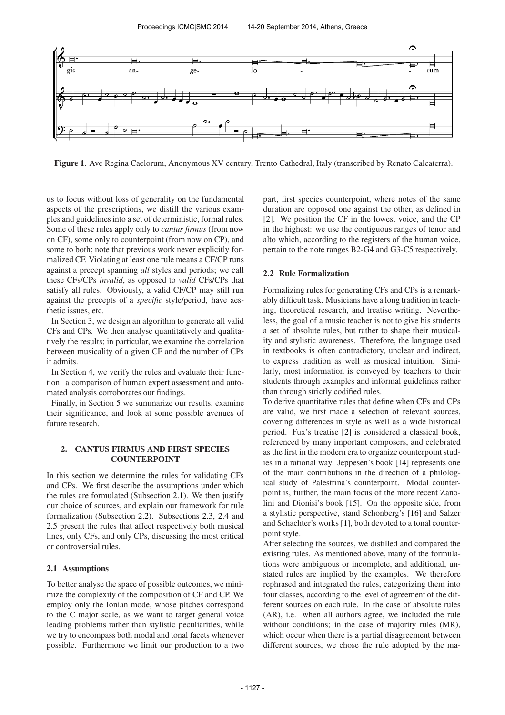

Figure 1. Ave Regina Caelorum, Anonymous XV century, Trento Cathedral, Italy (transcribed by Renato Calcaterra).

us to focus without loss of generality on the fundamental aspects of the prescriptions, we distill the various examples and guidelines into a set of deterministic, formal rules. Some of these rules apply only to *cantus firmus* (from now on CF), some only to counterpoint (from now on CP), and some to both; note that previous work never explicitly formalized CF. Violating at least one rule means a CF/CP runs against a precept spanning *all* styles and periods; we call these CFs/CPs *invalid*, as opposed to *valid* CFs/CPs that satisfy all rules. Obviously, a valid CF/CP may still run against the precepts of a *specific* style/period, have aesthetic issues, etc.

In Section 3, we design an algorithm to generate all valid CFs and CPs. We then analyse quantitatively and qualitatively the results; in particular, we examine the correlation between musicality of a given CF and the number of CPs it admits.

In Section 4, we verify the rules and evaluate their function: a comparison of human expert assessment and automated analysis corroborates our findings.

Finally, in Section 5 we summarize our results, examine their significance, and look at some possible avenues of future research.

## 2. CANTUS FIRMUS AND FIRST SPECIES COUNTERPOINT

In this section we determine the rules for validating CFs and CPs. We first describe the assumptions under which the rules are formulated (Subsection 2.1). We then justify our choice of sources, and explain our framework for rule formalization (Subsection 2.2). Subsections 2.3, 2.4 and 2.5 present the rules that affect respectively both musical lines, only CFs, and only CPs, discussing the most critical or controversial rules.

# 2.1 Assumptions

To better analyse the space of possible outcomes, we minimize the complexity of the composition of CF and CP. We employ only the Ionian mode, whose pitches correspond to the C major scale, as we want to target general voice leading problems rather than stylistic peculiarities, while we try to encompass both modal and tonal facets whenever possible. Furthermore we limit our production to a two

part, first species counterpoint, where notes of the same duration are opposed one against the other, as defined in [2]. We position the CF in the lowest voice, and the CP in the highest: we use the contiguous ranges of tenor and alto which, according to the registers of the human voice, pertain to the note ranges B2-G4 and G3-C5 respectively.

## 2.2 Rule Formalization

Formalizing rules for generating CFs and CPs is a remarkably difficult task. Musicians have a long tradition in teaching, theoretical research, and treatise writing. Nevertheless, the goal of a music teacher is not to give his students a set of absolute rules, but rather to shape their musicality and stylistic awareness. Therefore, the language used in textbooks is often contradictory, unclear and indirect, to express tradition as well as musical intuition. Similarly, most information is conveyed by teachers to their students through examples and informal guidelines rather than through strictly codified rules.

To derive quantitative rules that define when CFs and CPs are valid, we first made a selection of relevant sources, covering differences in style as well as a wide historical period. Fux's treatise [2] is considered a classical book, referenced by many important composers, and celebrated as the first in the modern era to organize counterpoint studies in a rational way. Jeppesen's book [14] represents one of the main contributions in the direction of a philological study of Palestrina's counterpoint. Modal counterpoint is, further, the main focus of the more recent Zanolini and Dionisi's book [15]. On the opposite side, from a stylistic perspective, stand Schönberg's [16] and Salzer and Schachter's works [1], both devoted to a tonal counterpoint style.

After selecting the sources, we distilled and compared the existing rules. As mentioned above, many of the formulations were ambiguous or incomplete, and additional, unstated rules are implied by the examples. We therefore rephrased and integrated the rules, categorizing them into four classes, according to the level of agreement of the different sources on each rule. In the case of absolute rules (AR), i.e. when all authors agree, we included the rule without conditions; in the case of majority rules (MR), which occur when there is a partial disagreement between different sources, we chose the rule adopted by the ma-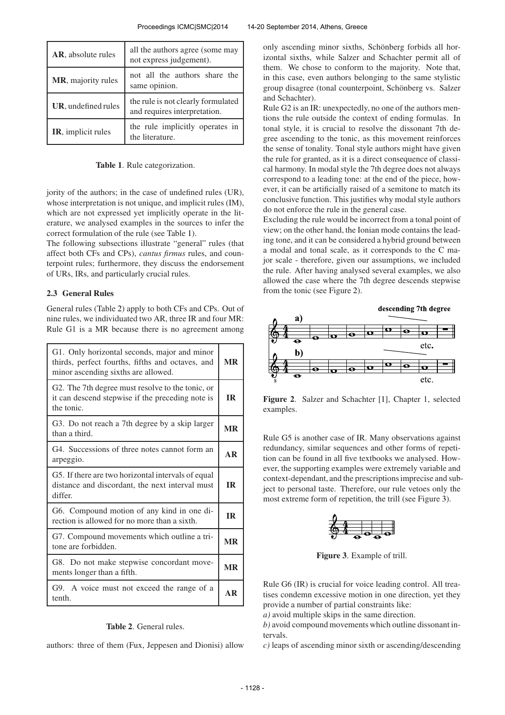| AR, absolute rules  | all the authors agree (some may<br>not express judgement).         |
|---------------------|--------------------------------------------------------------------|
| MR, majority rules  | not all the authors share the<br>same opinion.                     |
| UR, undefined rules | the rule is not clearly formulated<br>and requires interpretation. |
| IR, implicit rules  | the rule implicitly operates in<br>the literature.                 |

Table 1. Rule categorization.

jority of the authors; in the case of undefined rules (UR), whose interpretation is not unique, and implicit rules (IM), which are not expressed yet implicitly operate in the literature, we analysed examples in the sources to infer the correct formulation of the rule (see Table 1).

The following subsections illustrate "general" rules (that affect both CFs and CPs), *cantus firmus* rules, and counterpoint rules; furthermore, they discuss the endorsement of URs, IRs, and particularly crucial rules.

# 2.3 General Rules

General rules (Table 2) apply to both CFs and CPs. Out of nine rules, we individuated two AR, three IR and four MR: Rule G1 is a MR because there is no agreement among

| G1. Only horizontal seconds, major and minor<br>thirds, perfect fourths, fifths and octaves, and<br>minor ascending sixths are allowed. |           |  |
|-----------------------------------------------------------------------------------------------------------------------------------------|-----------|--|
| G2. The 7th degree must resolve to the tonic, or<br>it can descend stepwise if the preceding note is<br>the tonic.                      |           |  |
| G3. Do not reach a 7th degree by a skip larger<br>than a third.                                                                         | <b>MR</b> |  |
| G4. Successions of three notes cannot form an<br>arpeggio.                                                                              |           |  |
| G5. If there are two horizontal intervals of equal<br>distance and discordant, the next interval must<br>differ.                        |           |  |
| G6. Compound motion of any kind in one di-<br>rection is allowed for no more than a sixth.                                              |           |  |
| G7. Compound movements which outline a tri-<br>tone are forbidden.                                                                      |           |  |
| G8. Do not make stepwise concordant move-<br>ments longer than a fifth.                                                                 |           |  |
| G9. A voice must not exceed the range of a<br>tenth.                                                                                    |           |  |

# Table 2. General rules.

authors: three of them (Fux, Jeppesen and Dionisi) allow

only ascending minor sixths, Schönberg forbids all horizontal sixths, while Salzer and Schachter permit all of them. We chose to conform to the majority. Note that, in this case, even authors belonging to the same stylistic group disagree (tonal counterpoint, Schönberg vs. Salzer and Schachter).

Rule G2 is an IR: unexpectedly, no one of the authors mentions the rule outside the context of ending formulas. In tonal style, it is crucial to resolve the dissonant 7th degree ascending to the tonic, as this movement reinforces the sense of tonality. Tonal style authors might have given the rule for granted, as it is a direct consequence of classical harmony. In modal style the 7th degree does not always correspond to a leading tone: at the end of the piece, however, it can be artificially raised of a semitone to match its conclusive function. This justifies why modal style authors do not enforce the rule in the general case.

Excluding the rule would be incorrect from a tonal point of view; on the other hand, the Ionian mode contains the leading tone, and it can be considered a hybrid ground between a modal and tonal scale, as it corresponds to the C major scale - therefore, given our assumptions, we included the rule. After having analysed several examples, we also allowed the case where the 7th degree descends stepwise from the tonic (see Figure 2).



Figure 2. Salzer and Schachter [1], Chapter 1, selected examples.

Rule G5 is another case of IR. Many observations against redundancy, similar sequences and other forms of repetition can be found in all five textbooks we analysed. However, the supporting examples were extremely variable and context-dependant, and the prescriptions imprecise and subject to personal taste. Therefore, our rule vetoes only the most extreme form of repetition, the trill (see Figure 3).



Figure 3. Example of trill.

Rule G6 (IR) is crucial for voice leading control. All treatises condemn excessive motion in one direction, yet they provide a number of partial constraints like:

*a)* avoid multiple skips in the same direction.

*b)* avoid compound movements which outline dissonant intervals.

*c)* leaps of ascending minor sixth or ascending/descending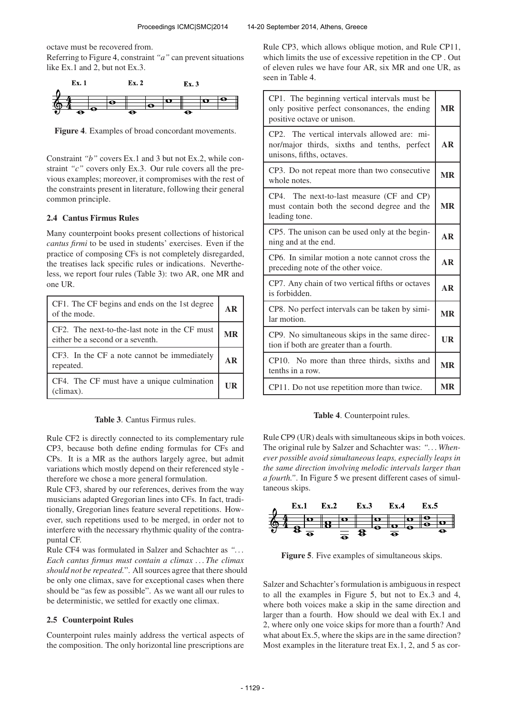octave must be recovered from. Referring to Figure 4, constraint *"a"* can prevent situations like Ex.1 and 2, but not Ex.3.



Figure 4. Examples of broad concordant movements.

Constraint *"b"* covers Ex.1 and 3 but not Ex.2, while constraint *"c"* covers only Ex.3. Our rule covers all the previous examples; moreover, it compromises with the rest of the constraints present in literature, following their general common principle.

## 2.4 Cantus Firmus Rules

Many counterpoint books present collections of historical *cantus firmi* to be used in students' exercises. Even if the practice of composing CFs is not completely disregarded, the treatises lack specific rules or indications. Nevertheless, we report four rules (Table 3): two AR, one MR and one UR.

| CF1. The CF begins and ends on the 1st degree<br>of the mode.                     |  |
|-----------------------------------------------------------------------------------|--|
| CF2. The next-to-the-last note in the CF must<br>either be a second or a seventh. |  |
| CF3. In the CF a note cannot be immediately<br>repeated.                          |  |
| CF4. The CF must have a unique culmination<br>(climax).                           |  |

Table 3. Cantus Firmus rules.

Rule CF2 is directly connected to its complementary rule CP3, because both define ending formulas for CFs and CPs. It is a MR as the authors largely agree, but admit variations which mostly depend on their referenced style therefore we chose a more general formulation.

Rule CF3, shared by our references, derives from the way musicians adapted Gregorian lines into CFs. In fact, traditionally, Gregorian lines feature several repetitions. However, such repetitions used to be merged, in order not to interfere with the necessary rhythmic quality of the contrapuntal CF.

Rule CF4 was formulated in Salzer and Schachter as *". . . Each cantus firmus must contain a climax . . . The climax should not be repeated.*". All sources agree that there should be only one climax, save for exceptional cases when there should be "as few as possible". As we want all our rules to be deterministic, we settled for exactly one climax.

## 2.5 Counterpoint Rules

Counterpoint rules mainly address the vertical aspects of the composition. The only horizontal line prescriptions are

Rule CP3, which allows oblique motion, and Rule CP11, which limits the use of excessive repetition in the CP . Out of eleven rules we have four AR, six MR and one UR, as seen in Table 4.

| CP1. The beginning vertical intervals must be<br>only positive perfect consonances, the ending<br>positive octave or unison. |           |
|------------------------------------------------------------------------------------------------------------------------------|-----------|
| CP2. The vertical intervals allowed are: mi-<br>nor/major thirds, sixths and tenths, perfect<br>unisons, fifths, octaves.    | AR        |
| CP3. Do not repeat more than two consecutive<br>whole notes.                                                                 | <b>MR</b> |
| CP4. The next-to-last measure (CF and CP)<br>must contain both the second degree and the<br>leading tone.                    | <b>MR</b> |
| CP5. The unison can be used only at the begin-<br>ning and at the end.                                                       |           |
| CP6. In similar motion a note cannot cross the<br>preceding note of the other voice.                                         |           |
| CP7. Any chain of two vertical fifths or octaves<br>is forbidden.                                                            | <b>AR</b> |
| CP8. No perfect intervals can be taken by simi-<br>lar motion.                                                               |           |
| CP9. No simultaneous skips in the same direc-<br>tion if both are greater than a fourth.                                     |           |
| CP10. No more than three thirds, sixths and<br>tenths in a row.                                                              |           |
| CP11. Do not use repetition more than twice.                                                                                 | MR        |

#### Table 4. Counterpoint rules.

Rule CP9 (UR) deals with simultaneous skips in both voices. The original rule by Salzer and Schachter was: *". . . Whenever possible avoid simultaneous leaps, especially leaps in the same direction involving melodic intervals larger than a fourth."*. In Figure 5 we present different cases of simultaneous skips.



Figure 5. Five examples of simultaneous skips.

Salzer and Schachter's formulation is ambiguous in respect to all the examples in Figure 5, but not to Ex.3 and 4, where both voices make a skip in the same direction and larger than a fourth. How should we deal with Ex.1 and 2, where only one voice skips for more than a fourth? And what about Ex.5, where the skips are in the same direction? Most examples in the literature treat Ex.1, 2, and 5 as cor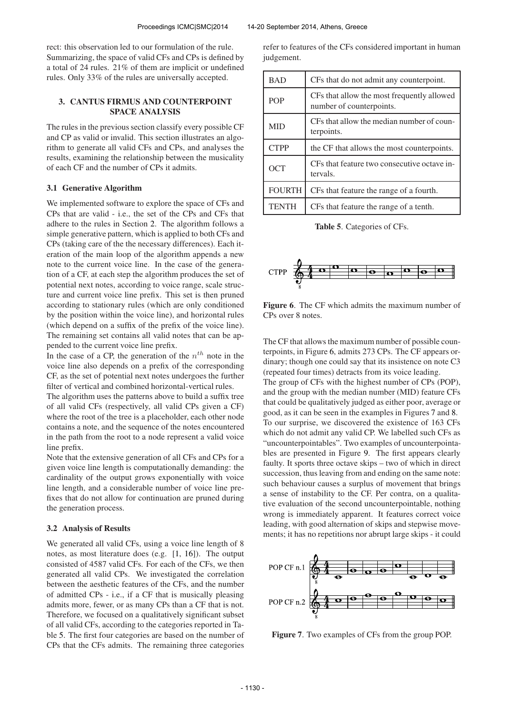rect: this observation led to our formulation of the rule. Summarizing, the space of valid CFs and CPs is defined by a total of 24 rules. 21% of them are implicit or undefined rules. Only 33% of the rules are universally accepted.

# 3. CANTUS FIRMUS AND COUNTERPOINT SPACE ANALYSIS

The rules in the previous section classify every possible CF and CP as valid or invalid. This section illustrates an algorithm to generate all valid CFs and CPs, and analyses the results, examining the relationship between the musicality of each CF and the number of CPs it admits.

#### 3.1 Generative Algorithm

We implemented software to explore the space of CFs and CPs that are valid - i.e., the set of the CPs and CFs that adhere to the rules in Section 2. The algorithm follows a simple generative pattern, which is applied to both CFs and CPs (taking care of the the necessary differences). Each iteration of the main loop of the algorithm appends a new note to the current voice line. In the case of the generation of a CF, at each step the algorithm produces the set of potential next notes, according to voice range, scale structure and current voice line prefix. This set is then pruned according to stationary rules (which are only conditioned by the position within the voice line), and horizontal rules (which depend on a suffix of the prefix of the voice line). The remaining set contains all valid notes that can be appended to the current voice line prefix.

In the case of a CP, the generation of the  $n^{th}$  note in the voice line also depends on a prefix of the corresponding CF, as the set of potential next notes undergoes the further filter of vertical and combined horizontal-vertical rules.

The algorithm uses the patterns above to build a suffix tree of all valid CFs (respectively, all valid CPs given a CF) where the root of the tree is a placeholder, each other node contains a note, and the sequence of the notes encountered in the path from the root to a node represent a valid voice line prefix.

Note that the extensive generation of all CFs and CPs for a given voice line length is computationally demanding: the cardinality of the output grows exponentially with voice line length, and a considerable number of voice line prefixes that do not allow for continuation are pruned during the generation process.

#### 3.2 Analysis of Results

We generated all valid CFs, using a voice line length of 8 notes, as most literature does (e.g. [1, 16]). The output consisted of 4587 valid CFs. For each of the CFs, we then generated all valid CPs. We investigated the correlation between the aesthetic features of the CFs, and the number of admitted CPs - i.e., if a CF that is musically pleasing admits more, fewer, or as many CPs than a CF that is not. Therefore, we focused on a qualitatively significant subset of all valid CFs, according to the categories reported in Table 5. The first four categories are based on the number of CPs that the CFs admits. The remaining three categories

refer to features of the CFs considered important in human judgement.

| <b>BAD</b>    | CFs that do not admit any counterpoint.                                |  |
|---------------|------------------------------------------------------------------------|--|
| <b>POP</b>    | CFs that allow the most frequently allowed<br>number of counterpoints. |  |
| <b>MID</b>    | CFs that allow the median number of coun-<br>terpoints.                |  |
| <b>CTPP</b>   | the CF that allows the most counterpoints.                             |  |
| OCT           | CFs that feature two consecutive octave in-<br>tervals.                |  |
| <b>FOURTH</b> | CFs that feature the range of a fourth.                                |  |
| <b>TENTH</b>  | CFs that feature the range of a tenth.                                 |  |

Table 5. Categories of CFs.



Figure 6. The CF which admits the maximum number of CPs over 8 notes.

The CF that allows the maximum number of possible counterpoints, in Figure 6, admits 273 CPs. The CF appears ordinary; though one could say that its insistence on note C3 (repeated four times) detracts from its voice leading.

The group of CFs with the highest number of CPs (POP), and the group with the median number (MID) feature CFs that could be qualitatively judged as either poor, average or good, as it can be seen in the examples in Figures 7 and 8. To our surprise, we discovered the existence of 163 CFs which do not admit any valid CP. We labelled such CFs as "uncounterpointables". Two examples of uncounterpointables are presented in Figure 9. The first appears clearly faulty. It sports three octave skips – two of which in direct succession, thus leaving from and ending on the same note: such behaviour causes a surplus of movement that brings a sense of instability to the CF. Per contra, on a qualitative evaluation of the second uncounterpointable, nothing wrong is immediately apparent. It features correct voice leading, with good alternation of skips and stepwise movements; it has no repetitions nor abrupt large skips - it could



Figure 7. Two examples of CFs from the group POP.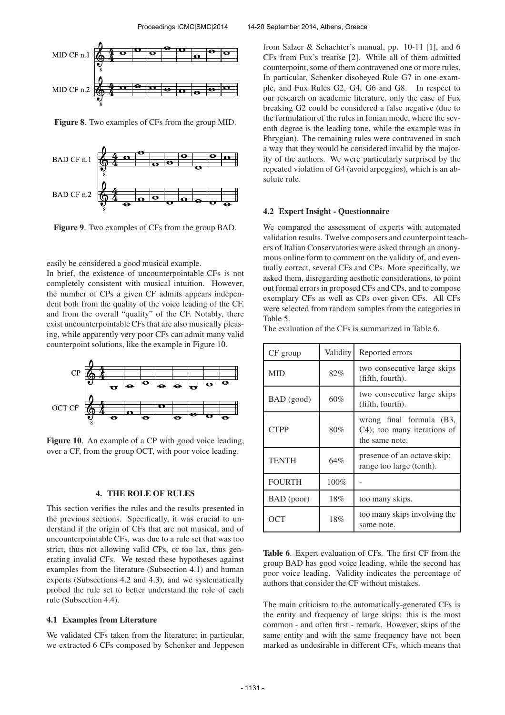

Figure 8. Two examples of CFs from the group MID.



Figure 9. Two examples of CFs from the group BAD.

easily be considered a good musical example.

In brief, the existence of uncounterpointable CFs is not completely consistent with musical intuition. However, the number of CPs a given CF admits appears independent both from the quality of the voice leading of the CF, and from the overall "quality" of the CF. Notably, there exist uncounterpointable CFs that are also musically pleasing, while apparently very poor CFs can admit many valid counterpoint solutions, like the example in Figure 10.



Figure 10. An example of a CP with good voice leading, over a CF, from the group OCT, with poor voice leading.

#### 4. THE ROLE OF RULES

This section verifies the rules and the results presented in the previous sections. Specifically, it was crucial to understand if the origin of CFs that are not musical, and of uncounterpointable CFs, was due to a rule set that was too strict, thus not allowing valid CPs, or too lax, thus generating invalid CFs. We tested these hypotheses against examples from the literature (Subsection 4.1) and human experts (Subsections 4.2 and 4.3), and we systematically probed the rule set to better understand the role of each rule (Subsection 4.4).

## 4.1 Examples from Literature

We validated CFs taken from the literature; in particular, we extracted 6 CFs composed by Schenker and Jeppesen

from Salzer & Schachter's manual, pp. 10-11 [1], and 6 CFs from Fux's treatise [2]. While all of them admitted counterpoint, some of them contravened one or more rules. In particular, Schenker disobeyed Rule G7 in one example, and Fux Rules G2, G4, G6 and G8. In respect to our research on academic literature, only the case of Fux breaking G2 could be considered a false negative (due to the formulation of the rules in Ionian mode, where the seventh degree is the leading tone, while the example was in Phrygian). The remaining rules were contravened in such a way that they would be considered invalid by the majority of the authors. We were particularly surprised by the repeated violation of G4 (avoid arpeggios), which is an absolute rule.

#### 4.2 Expert Insight - Questionnaire

We compared the assessment of experts with automated validation results. Twelve composers and counterpoint teachers of Italian Conservatories were asked through an anonymous online form to comment on the validity of, and eventually correct, several CFs and CPs. More specifically, we asked them, disregarding aesthetic considerations, to point out formal errors in proposed CFs and CPs, and to compose exemplary CFs as well as CPs over given CFs. All CFs were selected from random samples from the categories in Table 5.

The evaluation of the CFs is summarized in Table 6.

| CF group      | Validity | Reported errors                                                           |
|---------------|----------|---------------------------------------------------------------------------|
| <b>MID</b>    | 82%      | two consecutive large skips<br>(fifth, fourth).                           |
| BAD (good)    | 60%      | two consecutive large skips<br>(fifth, fourth).                           |
| <b>CTPP</b>   | 80%      | wrong final formula (B3,<br>C4); too many iterations of<br>the same note. |
| <b>TENTH</b>  | 64%      | presence of an octave skip;<br>range too large (tenth).                   |
| <b>FOURTH</b> | $100\%$  |                                                                           |
| BAD (poor)    | 18%      | too many skips.                                                           |
| OCT           | 18%      | too many skips involving the<br>same note.                                |

Table 6. Expert evaluation of CFs. The first CF from the group BAD has good voice leading, while the second has poor voice leading. Validity indicates the percentage of authors that consider the CF without mistakes.

The main criticism to the automatically-generated CFs is the entity and frequency of large skips: this is the most common - and often first - remark. However, skips of the same entity and with the same frequency have not been marked as undesirable in different CFs, which means that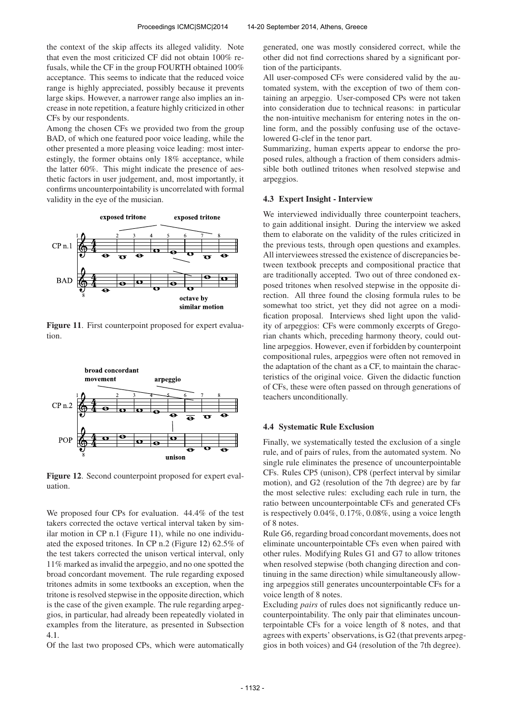the context of the skip affects its alleged validity. Note that even the most criticized CF did not obtain 100% refusals, while the CF in the group FOURTH obtained 100% acceptance. This seems to indicate that the reduced voice range is highly appreciated, possibly because it prevents large skips. However, a narrower range also implies an increase in note repetition, a feature highly criticized in other CFs by our respondents.

Among the chosen CFs we provided two from the group BAD, of which one featured poor voice leading, while the other presented a more pleasing voice leading: most interestingly, the former obtains only 18% acceptance, while the latter 60%. This might indicate the presence of aesthetic factors in user judgement, and, most importantly, it confirms uncounterpointability is uncorrelated with formal validity in the eye of the musician.



Figure 11. First counterpoint proposed for expert evaluation.



Figure 12. Second counterpoint proposed for expert evaluation.

We proposed four CPs for evaluation. 44.4% of the test takers corrected the octave vertical interval taken by similar motion in CP n.1 (Figure 11), while no one individuated the exposed tritones. In CP n.2 (Figure 12) 62.5% of the test takers corrected the unison vertical interval, only 11% marked as invalid the arpeggio, and no one spotted the broad concordant movement. The rule regarding exposed tritones admits in some textbooks an exception, when the tritone is resolved stepwise in the opposite direction, which is the case of the given example. The rule regarding arpeggios, in particular, had already been repeatedly violated in examples from the literature, as presented in Subsection 4.1.

Of the last two proposed CPs, which were automatically

generated, one was mostly considered correct, while the other did not find corrections shared by a significant portion of the participants.

All user-composed CFs were considered valid by the automated system, with the exception of two of them containing an arpeggio. User-composed CPs were not taken into consideration due to technical reasons: in particular the non-intuitive mechanism for entering notes in the online form, and the possibly confusing use of the octavelowered G-clef in the tenor part.

Summarizing, human experts appear to endorse the proposed rules, although a fraction of them considers admissible both outlined tritones when resolved stepwise and arpeggios.

# 4.3 Expert Insight - Interview

We interviewed individually three counterpoint teachers, to gain additional insight. During the interview we asked them to elaborate on the validity of the rules criticized in the previous tests, through open questions and examples. All interviewees stressed the existence of discrepancies between textbook precepts and compositional practice that are traditionally accepted. Two out of three condoned exposed tritones when resolved stepwise in the opposite direction. All three found the closing formula rules to be somewhat too strict, yet they did not agree on a modification proposal. Interviews shed light upon the validity of arpeggios: CFs were commonly excerpts of Gregorian chants which, preceding harmony theory, could outline arpeggios. However, even if forbidden by counterpoint compositional rules, arpeggios were often not removed in the adaptation of the chant as a CF, to maintain the characteristics of the original voice. Given the didactic function of CFs, these were often passed on through generations of teachers unconditionally.

#### 4.4 Systematic Rule Exclusion

Finally, we systematically tested the exclusion of a single rule, and of pairs of rules, from the automated system. No single rule eliminates the presence of uncounterpointable CFs. Rules CP5 (unison), CP8 (perfect interval by similar motion), and G2 (resolution of the 7th degree) are by far the most selective rules: excluding each rule in turn, the ratio between uncounterpointable CFs and generated CFs is respectively 0.04%, 0.17%, 0.08%, using a voice length of 8 notes.

Rule G6, regarding broad concordant movements, does not eliminate uncounterpointable CFs even when paired with other rules. Modifying Rules G1 and G7 to allow tritones when resolved stepwise (both changing direction and continuing in the same direction) while simultaneously allowing arpeggios still generates uncounterpointable CFs for a voice length of 8 notes.

Excluding *pairs* of rules does not significantly reduce uncounterpointability. The only pair that eliminates uncounterpointable CFs for a voice length of 8 notes, and that agrees with experts' observations, is G2 (that prevents arpeggios in both voices) and G4 (resolution of the 7th degree).